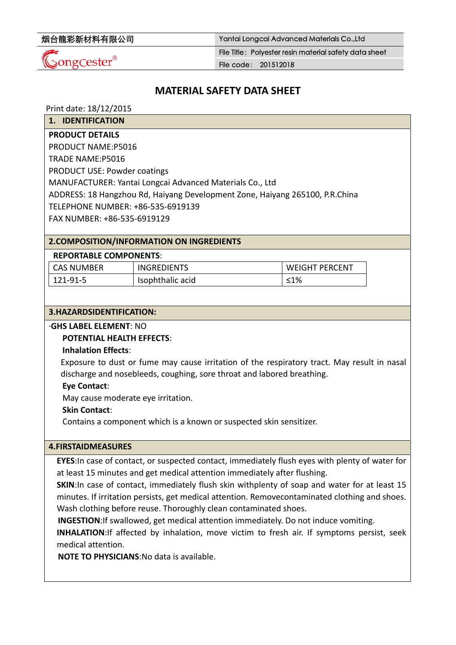| 烟台龍彩新材料有限公司 |  |
|-------------|--|
|-------------|--|

Yantai Longcai Advanced Materials Co.,Ltd

 $\mathcal{Q}$ ongCester®

File Title: Polyester resin material safety data sheet

File code: 201512018

# **MATERIAL SAFETY DATA SHEET**

Print date: 18/12/2015

**1. IDENTIFICATION**

### **PRODUCT DETAILS**

PRODUCT NAME:P5016

TRADE NAME:P5016

PRODUCT USE: Powder coatings

MANUFACTURER: Yantai Longcai Advanced Materials Co., Ltd

ADDRESS: 18 Hangzhou Rd, Haiyang Development Zone, Haiyang 265100, P.R.China

TELEPHONE NUMBER: +86‐535‐6919139

FAX NUMBER: +86‐535‐6919129

# **2.COMPOSITION/INFORMATION ON INGREDIENTS**

### **REPORTABLE COMPONENTS**:

| <b>CAS NUMBER</b> | <b>INGREDIENTS</b> | <b>WEIGHT PERCENT</b> |
|-------------------|--------------------|-----------------------|
| $121-91-5$        | Isophthalic acid   | ≤1%                   |

#### **3.HAZARDSIDENTIFICATION:**

#### ∙**GHS LABEL ELEMENT**: NO

# **POTENTIAL HEALTH EFFECTS**:

# **Inhalation Effects**:

Exposure to dust or fume may cause irritation of the respiratory tract. May result in nasal discharge and nosebleeds, coughing, sore throat and labored breathing.

**Eye Contact**:

May cause moderate eye irritation.

# **Skin Contact**:

Contains a component which is a known or suspected skin sensitizer.

#### **4.FIRSTAIDMEASURES**

**EYES**:In case of contact, or suspected contact, immediately flush eyes with plenty of water for at least 15 minutes and get medical attention immediately after flushing.

**SKIN:**In case of contact, immediately flush skin withplenty of soap and water for at least 15 minutes. If irritation persists, get medical attention. Removecontaminated clothing and shoes. Wash clothing before reuse. Thoroughly clean contaminated shoes.

**INGESTION**:If swallowed, get medical attention immediately. Do not induce vomiting.

**INHALATION**:If affected by inhalation, move victim to fresh air. If symptoms persist, seek medical attention.

**NOTE TO PHYSICIANS**:No data is available.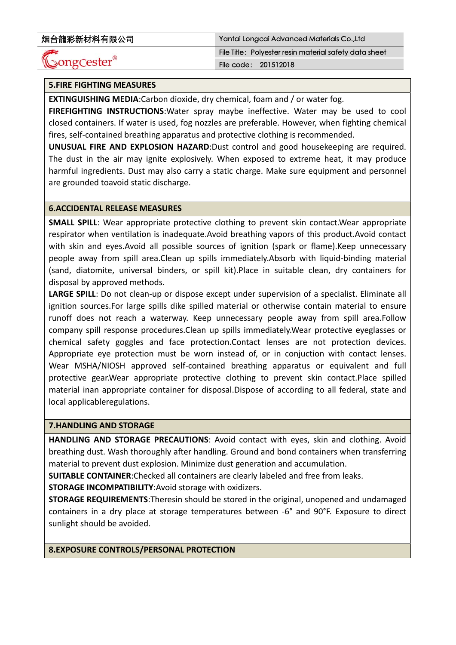# ುong $\mathsf{Cester}^\circ$

烟台龍彩新材料有限公司 Yantai Longcai Advanced Materials Co.,Ltd File Title: Polyester resin material safety data sheet File code: 201512018

# **5.FIRE FIGHTING MEASURES**

**EXTINGUISHING MEDIA**:Carbon dioxide, dry chemical, foam and / or water fog.

**FIREFIGHTING INSTRUCTIONS**:Water spray maybe ineffective. Water may be used to cool closed containers. If water is used, fog nozzles are preferable. However, when fighting chemical fires, self-contained breathing apparatus and protective clothing is recommended.

**UNUSUAL FIRE AND EXPLOSION HAZARD**:Dust control and good housekeeping are required. The dust in the air may ignite explosively. When exposed to extreme heat, it may produce harmful ingredients. Dust may also carry a static charge. Make sure equipment and personnel are grounded toavoid static discharge.

#### **6.ACCIDENTAL RELEASE MEASURES**

**SMALL SPILL**: Wear appropriate protective clothing to prevent skin contact.Wear appropriate respirator when ventilation is inadequate.Avoid breathing vapors of this product.Avoid contact with skin and eyes.Avoid all possible sources of ignition (spark or flame).Keep unnecessary people away from spill area.Clean up spills immediately.Absorb with liquid‐binding material (sand, diatomite, universal binders, or spill kit).Place in suitable clean, dry containers for disposal by approved methods.

**LARGE SPILL**: Do not clean‐up or dispose except under supervision of a specialist. Eliminate all ignition sources.For large spills dike spilled material or otherwise contain material to ensure runoff does not reach a waterway. Keep unnecessary people away from spill area.Follow company spill response procedures.Clean up spills immediately.Wear protective eyeglasses or chemical safety goggles and face protection.Contact lenses are not protection devices. Appropriate eye protection must be worn instead of, or in conjuction with contact lenses. Wear MSHA/NIOSH approved self-contained breathing apparatus or equivalent and full protective gear.Wear appropriate protective clothing to prevent skin contact.Place spilled material inan appropriate container for disposal.Dispose of according to all federal, state and local applicableregulations.

#### **7.HANDLING AND STORAGE**

**HANDLING AND STORAGE PRECAUTIONS**: Avoid contact with eyes, skin and clothing. Avoid breathing dust. Wash thoroughly after handling. Ground and bond containers when transferring material to prevent dust explosion. Minimize dust generation and accumulation.

**SUITABLE CONTAINER**:Checked all containers are clearly labeled and free from leaks.

**STORAGE INCOMPATIBILITY**:Avoid storage with oxidizers.

**STORAGE REQUIREMENTS**:Theresin should be stored in the original, unopened and undamaged containers in a dry place at storage temperatures between ‐6° and 90°F. Exposure to direct sunlight should be avoided.

#### **8.EXPOSURE CONTROLS/PERSONAL PROTECTION**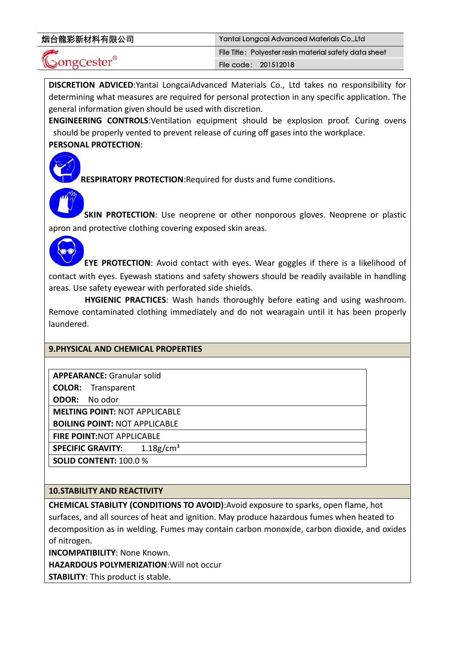| 烟台龍彩新材料有限公司 |  |
|-------------|--|
|-------------|--|

**DISCRETION ADVICED**:Yantai LongcaiAdvanced Materials Co., Ltd takes no responsibility for determining what measures are required for personal protection in any specific application. The general information given should be used with discretion.

**ENGINEERING CONTROLS**:Ventilation equipment should be explosion proof. Curing ovens should be properly vented to prevent release of curing off gases into the workplace. **PERSONAL PROTECTION**:



**RESPIRATORY PROTECTION**:Required for dusts and fume conditions.

**SKIN PROTECTION**: Use neoprene or other nonporous gloves. Neoprene or plastic apron and protective clothing covering exposed skin areas.

**EYE PROTECTION**: Avoid contact with eyes. Wear goggles if there is a likelihood of contact with eyes. Eyewash stations and safety showers should be readily available in handling areas. Use safety eyewear with perforated side shields.

**HYGIENIC PRACTICES**: Wash hands thoroughly before eating and using washroom. Remove contaminated clothing immediately and do not wearagain until it has been properly laundered.

# **9.PHYSICAL AND CHEMICAL PROPERTIES**

| <b>APPEARANCE: Granular solid</b>                    |
|------------------------------------------------------|
| <b>COLOR:</b> Transparent                            |
| <b>ODOR:</b> No odor                                 |
| <b>MELTING POINT: NOT APPLICABLE</b>                 |
| <b>BOILING POINT: NOT APPLICABLE</b>                 |
| <b>FIRE POINT:NOT APPLICABLE</b>                     |
| $1.18$ g/cm <sup>3</sup><br><b>SPECIFIC GRAVITY:</b> |
| <b>SOLID CONTENT: 100.0 %</b>                        |
|                                                      |

# **10.STABILITY AND REACTIVITY**

**CHEMICAL STABILITY (CONDITIONS TO AVOID)**:Avoid exposure to sparks, open flame, hot surfaces, and all sources of heat and ignition. May produce hazardous fumes when heated to decomposition as in welding. Fumes may contain carbon monoxide, carbon dioxide, and oxides of nitrogen.

**INCOMPATIBILITY**: None Known.

**HAZARDOUS POLYMERIZATION**:Will not occur

**STABILITY**: This product is stable.